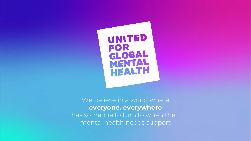

We believe in a world where **everyone, everywhere** has someone to turn to when their mental health needs support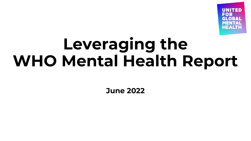

# **Leveraging the WHO Mental Health Report**

**June 2022**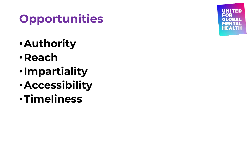# **Opportunities**

- •**Authority**
- •**Reach**
- •**Impartiality**
- •**Accessibility**
- •**Timeliness**

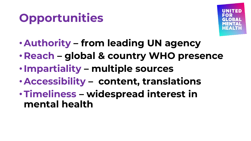# **Opportunities**



- •**Authority – from leading UN agency**
- **Reach – global & country WHO presence**
- •**Impartiality – multiple sources**
- •**Accessibility – content, translations**
- •**Timeliness – widespread interest in mental health**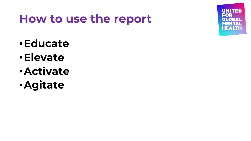#### **How to use the report**



- •**Educate**
- •**Elevate**
- •**Activate**
- •**Agitate**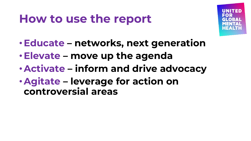### **How to use the report**



- •**Educate – networks, next generation**
- •**Elevate – move up the agenda**
- •**Activate – inform and drive advocacy**
- •**Agitate – leverage for action on controversial areas**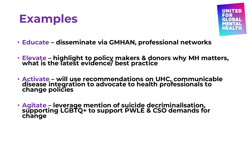#### **Examples**



- **Educate – disseminate via GMHAN, professional networks**
- **Elevate – highlight to policy makers & donors why MH matters, what is the latest evidence/ best practice**
- **Activate – will use recommendations on UHC, communicable disease integration to advocate to health professionals to change policies**
- **Agitate – leverage mention of suicide decriminalisation, supporting LGBTQ+ to support PWLE & CSO demands for change**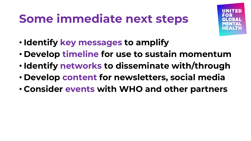## **Some immediate next steps**



- **Identify key messages to amplify**
- **Develop timeline for use to sustain momentum**
- **Identify networks to disseminate with/through**
- **Develop content for newsletters, social media**
- **Consider events with WHO and other partners**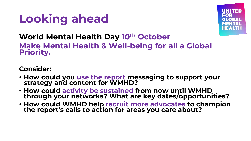



#### **World Mental Health Day 10th October**

**Make Mental Health & Well-being for all a Global Priority.**

#### **Consider:**

- **How could you use the report messaging to support your strategy and content for WMHD?**
- **How could activity be sustained from now until WMHD through your networks? What are key dates/opportunities?**
- **How could WMHD help recruit more advocates to champion the report's calls to action for areas you care about?**